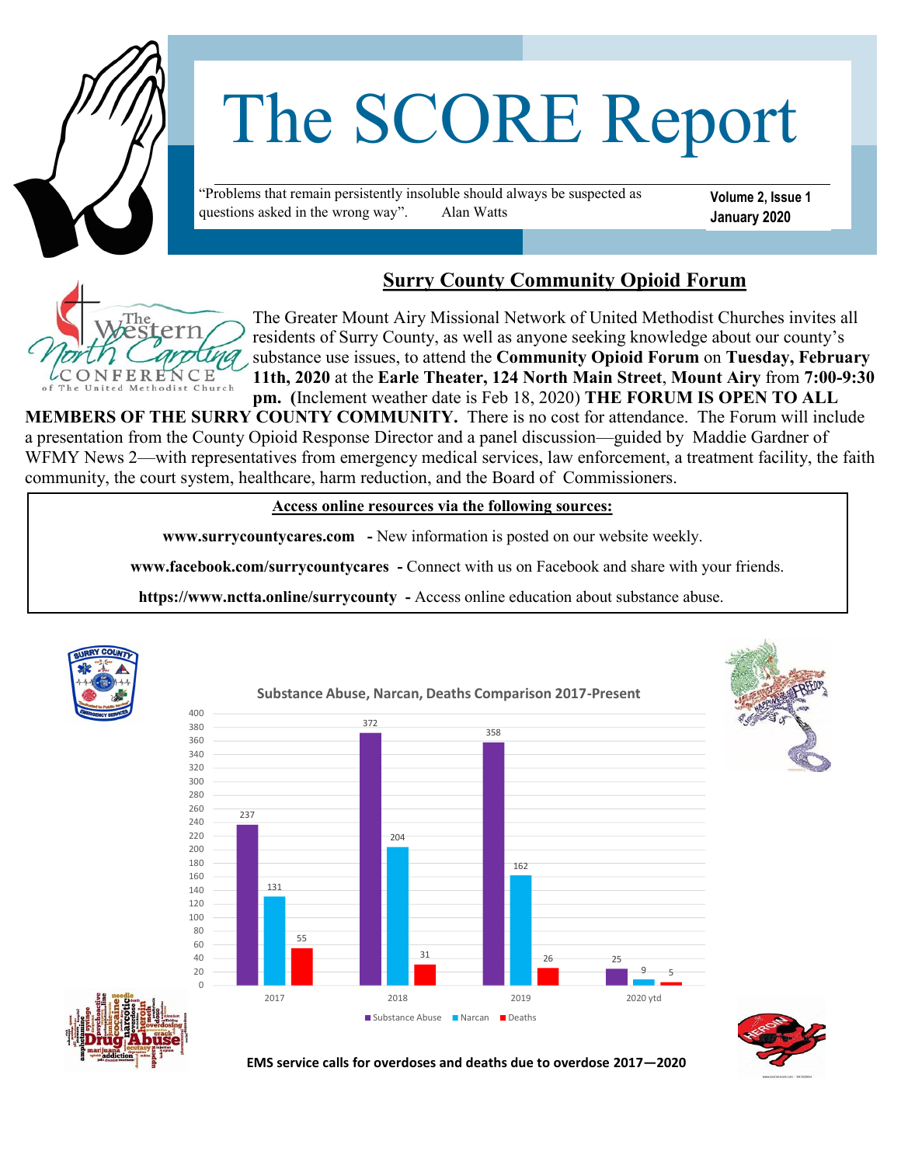

# The SCORE Report

"Problems that remain persistently insoluble should always be suspected as questions asked in the wrong way". Alan Watts

**Volume 2, Issue 1 January 2020**

## **Surry County Community Opioid Forum**



The Greater Mount Airy Missional Network of United Methodist Churches invites all residents of Surry County, as well as anyone seeking knowledge about our county's substance use issues, to attend the **Community Opioid Forum** on **Tuesday, February 11th, 2020** at the **Earle Theater, 124 North Main Street**, **Mount Airy** from **7:00-9:30 pm. (**Inclement weather date is Feb 18, 2020) **THE FORUM IS OPEN TO ALL** 

**MEMBERS OF THE SURRY COUNTY COMMUNITY.** There is no cost for attendance. The Forum will include a presentation from the County Opioid Response Director and a panel discussion—guided by Maddie Gardner of WFMY News 2—with representatives from emergency medical services, law enforcement, a treatment facility, the faith community, the court system, healthcare, harm reduction, and the Board of Commissioners.

 **Access online resources via the following sources:**

 **www.surrycountycares.com -** New information is posted on our website weekly.

 **www.facebook.com/surrycountycares -** Connect with us on Facebook and share with your friends.

 **https://www.nctta.online/surrycounty -** Access online education about substance abuse.